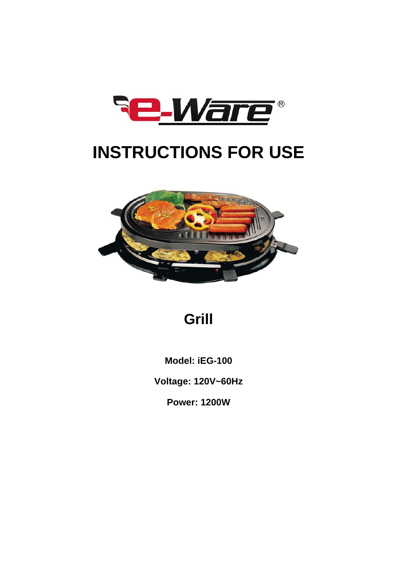

# **INSTRUCTIONS FOR USE**



## **Grill**

**Model: iEG-100** 

**Voltage: 120V~60Hz** 

**Power: 1200W**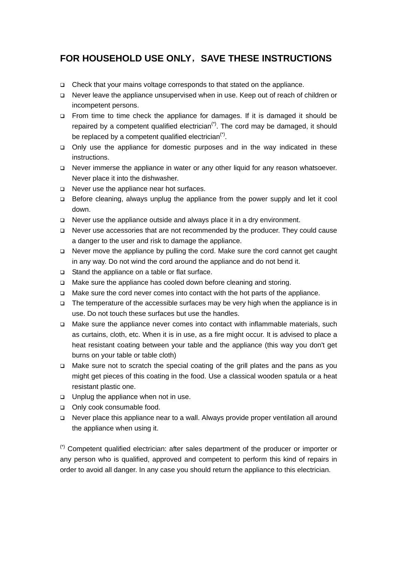## **FOR HOUSEHOLD USE ONLY**,**SAVE THESE INSTRUCTIONS**

- □ Check that your mains voltage corresponds to that stated on the appliance.
- Never leave the appliance unsupervised when in use. Keep out of reach of children or incompetent persons.
- From time to time check the appliance for damages. If it is damaged it should be repaired by a competent qualified electrician<sup> $(*)$ </sup>. The cord may be damaged, it should be replaced by a competent qualified electrician<sup> $(*)$ </sup>.
- Only use the appliance for domestic purposes and in the way indicated in these instructions.
- □ Never immerse the appliance in water or any other liquid for any reason whatsoever. Never place it into the dishwasher.
- □ Never use the appliance near hot surfaces.
- $\Box$  Before cleaning, always unplug the appliance from the power supply and let it cool down.
- □ Never use the appliance outside and always place it in a dry environment.
- Never use accessories that are not recommended by the producer. They could cause a danger to the user and risk to damage the appliance.
- □ Never move the appliance by pulling the cord. Make sure the cord cannot get caught in any way. Do not wind the cord around the appliance and do not bend it.
- □ Stand the appliance on a table or flat surface.
- □ Make sure the appliance has cooled down before cleaning and storing.
- □ Make sure the cord never comes into contact with the hot parts of the appliance.
- $\Box$  The temperature of the accessible surfaces may be very high when the appliance is in use. Do not touch these surfaces but use the handles.
- Make sure the appliance never comes into contact with inflammable materials, such as curtains, cloth, etc. When it is in use, as a fire might occur. It is advised to place a heat resistant coating between your table and the appliance (this way you don't get burns on your table or table cloth)
- Make sure not to scratch the special coating of the grill plates and the pans as you might get pieces of this coating in the food. Use a classical wooden spatula or a heat resistant plastic one.
- □ Unplug the appliance when not in use.
- □ Only cook consumable food.
- Never place this appliance near to a wall. Always provide proper ventilation all around the appliance when using it.

(\*) Competent qualified electrician: after sales department of the producer or importer or any person who is qualified, approved and competent to perform this kind of repairs in order to avoid all danger. In any case you should return the appliance to this electrician.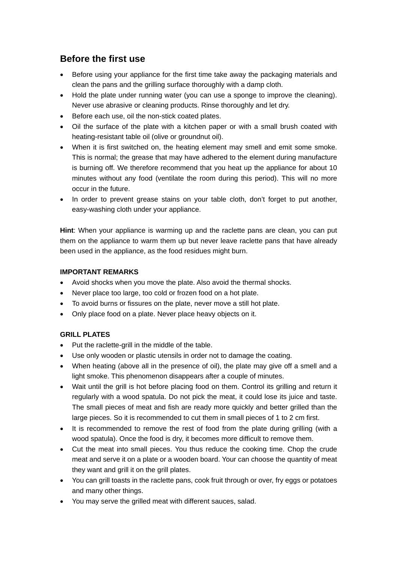## **Before the first use**

- Before using your appliance for the first time take away the packaging materials and clean the pans and the grilling surface thoroughly with a damp cloth.
- Hold the plate under running water (you can use a sponge to improve the cleaning). Never use abrasive or cleaning products. Rinse thoroughly and let dry.
- Before each use, oil the non-stick coated plates.
- Oil the surface of the plate with a kitchen paper or with a small brush coated with heating-resistant table oil (olive or groundnut oil).
- When it is first switched on, the heating element may smell and emit some smoke. This is normal; the grease that may have adhered to the element during manufacture is burning off. We therefore recommend that you heat up the appliance for about 10 minutes without any food (ventilate the room during this period). This will no more occur in the future.
- In order to prevent grease stains on your table cloth, don't forget to put another, easy-washing cloth under your appliance.

**Hint**: When your appliance is warming up and the raclette pans are clean, you can put them on the appliance to warm them up but never leave raclette pans that have already been used in the appliance, as the food residues might burn.

#### **IMPORTANT REMARKS**

- Avoid shocks when you move the plate. Also avoid the thermal shocks.
- Never place too large, too cold or frozen food on a hot plate.
- To avoid burns or fissures on the plate, never move a still hot plate.
- Only place food on a plate. Never place heavy objects on it.

### **GRILL PLATES**

- Put the raclette-grill in the middle of the table.
- Use only wooden or plastic utensils in order not to damage the coating.
- When heating (above all in the presence of oil), the plate may give off a smell and a light smoke. This phenomenon disappears after a couple of minutes.
- Wait until the grill is hot before placing food on them. Control its grilling and return it regularly with a wood spatula. Do not pick the meat, it could lose its juice and taste. The small pieces of meat and fish are ready more quickly and better grilled than the large pieces. So it is recommended to cut them in small pieces of 1 to 2 cm first.
- It is recommended to remove the rest of food from the plate during grilling (with a wood spatula). Once the food is dry, it becomes more difficult to remove them.
- Cut the meat into small pieces. You thus reduce the cooking time. Chop the crude meat and serve it on a plate or a wooden board. Your can choose the quantity of meat they want and grill it on the grill plates.
- You can grill toasts in the raclette pans, cook fruit through or over, fry eggs or potatoes and many other things.
- You may serve the grilled meat with different sauces, salad.